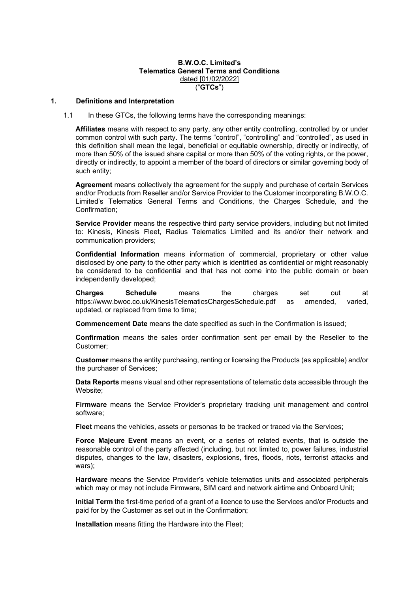# **B.W.O.C. Limited's Telematics General Terms and Conditions** dated [01/02/2022] ("**GTCs**")

#### **1. Definitions and Interpretation**

1.1 In these GTCs, the following terms have the corresponding meanings:

**Affiliates** means with respect to any party, any other entity controlling, controlled by or under common control with such party. The terms "control", "controlling" and "controlled", as used in this definition shall mean the legal, beneficial or equitable ownership, directly or indirectly, of more than 50% of the issued share capital or more than 50% of the voting rights, or the power, directly or indirectly, to appoint a member of the board of directors or similar governing body of such entity;

**Agreement** means collectively the agreement for the supply and purchase of certain Services and/or Products from Reseller and/or Service Provider to the Customer incorporating B.W.O.C. Limited's Telematics General Terms and Conditions, the Charges Schedule, and the Confirmation;

**Service Provider** means the respective third party service providers, including but not limited to: Kinesis, Kinesis Fleet, Radius Telematics Limited and its and/or their network and communication providers;

**Confidential Information** means information of commercial, proprietary or other value disclosed by one party to the other party which is identified as confidential or might reasonably be considered to be confidential and that has not come into the public domain or been independently developed;

**Charges Schedule** means the charges set out at https://www.bwoc.co.uk/KinesisTelematicsChargesSchedule.pdf as amended, varied, updated, or replaced from time to time;

**Commencement Date** means the date specified as such in the Confirmation is issued;

**Confirmation** means the sales order confirmation sent per email by the Reseller to the Customer;

**Customer** means the entity purchasing, renting or licensing the Products (as applicable) and/or the purchaser of Services;

**Data Reports** means visual and other representations of telematic data accessible through the Website;

**Firmware** means the Service Provider's proprietary tracking unit management and control software;

**Fleet** means the vehicles, assets or personas to be tracked or traced via the Services;

**Force Majeure Event** means an event, or a series of related events, that is outside the reasonable control of the party affected (including, but not limited to, power failures, industrial disputes, changes to the law, disasters, explosions, fires, floods, riots, terrorist attacks and wars);

**Hardware** means the Service Provider's vehicle telematics units and associated peripherals which may or may not include Firmware, SIM card and network airtime and Onboard Unit;

**Initial Term** the first-time period of a grant of a licence to use the Services and/or Products and paid for by the Customer as set out in the Confirmation;

**Installation** means fitting the Hardware into the Fleet;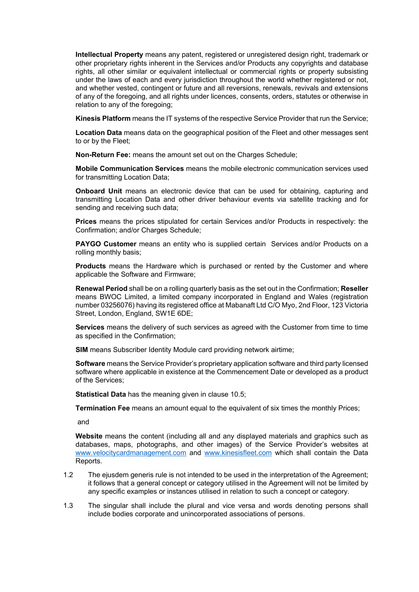**Intellectual Property** means any patent, registered or unregistered design right, trademark or other proprietary rights inherent in the Services and/or Products any copyrights and database rights, all other similar or equivalent intellectual or commercial rights or property subsisting under the laws of each and every jurisdiction throughout the world whether registered or not, and whether vested, contingent or future and all reversions, renewals, revivals and extensions of any of the foregoing, and all rights under licences, consents, orders, statutes or otherwise in relation to any of the foregoing;

**Kinesis Platform** means the IT systems of the respective Service Provider that run the Service;

**Location Data** means data on the geographical position of the Fleet and other messages sent to or by the Fleet;

**Non-Return Fee:** means the amount set out on the Charges Schedule;

**Mobile Communication Services** means the mobile electronic communication services used for transmitting Location Data;

**Onboard Unit** means an electronic device that can be used for obtaining, capturing and transmitting Location Data and other driver behaviour events via satellite tracking and for sending and receiving such data;

**Prices** means the prices stipulated for certain Services and/or Products in respectively: the Confirmation; and/or Charges Schedule;

**PAYGO Customer** means an entity who is supplied certain Services and/or Products on a rolling monthly basis;

**Products** means the Hardware which is purchased or rented by the Customer and where applicable the Software and Firmware;

**Renewal Period** shall be on a rolling quarterly basis as the set out in the Confirmation; **Reseller** means BWOC Limited, a limited company incorporated in England and Wales (registration number 03256076) having its registered office at Mabanaft Ltd C/O Myo, 2nd Floor, 123 Victoria Street, London, England, SW1E 6DE;

**Services** means the delivery of such services as agreed with the Customer from time to time as specified in the Confirmation;

**SIM** means Subscriber Identity Module card providing network airtime;

**Software** means the Service Provider's proprietary application software and third party licensed software where applicable in existence at the Commencement Date or developed as a product of the Services;

**Statistical Data** has the meaning given in clause [10.5;](#page-6-0)

**Termination Fee** means an amount equal to the equivalent of six times the monthly Prices;

and

**Website** means the content (including all and any displayed materials and graphics such as databases, maps, photographs, and other images) of the Service Provider's websites at [www.velocitycardmanagement.com](http://www.velocitycardmanagement.com/) and [www.kinesisfleet.com](http://www.kinesisfleet.com/) which shall contain the Data Reports.

- 1.2 The ejusdem generis rule is not intended to be used in the interpretation of the Agreement; it follows that a general concept or category utilised in the Agreement will not be limited by any specific examples or instances utilised in relation to such a concept or category.
- 1.3 The singular shall include the plural and vice versa and words denoting persons shall include bodies corporate and unincorporated associations of persons.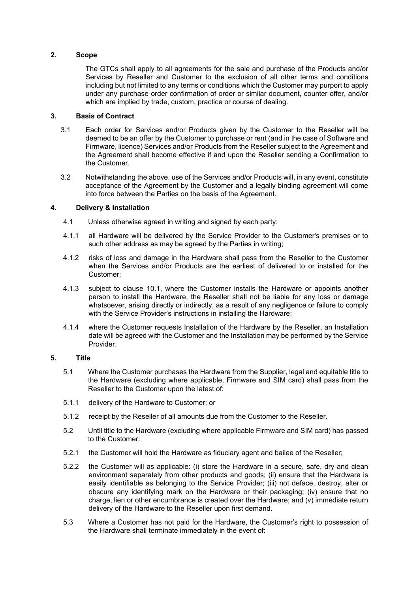# **2. Scope**

The GTCs shall apply to all agreements for the sale and purchase of the Products and/or Services by Reseller and Customer to the exclusion of all other terms and conditions including but not limited to any terms or conditions which the Customer may purport to apply under any purchase order confirmation of order or similar document, counter offer, and/or which are implied by trade, custom, practice or course of dealing.

# **3. Basis of Contract**

- 3.1 Each order for Services and/or Products given by the Customer to the Reseller will be deemed to be an offer by the Customer to purchase or rent (and in the case of Software and Firmware, licence) Services and/or Products from the Reseller subject to the Agreement and the Agreement shall become effective if and upon the Reseller sending a Confirmation to the Customer.
- 3.2 Notwithstanding the above, use of the Services and/or Products will, in any event, constitute acceptance of the Agreement by the Customer and a legally binding agreement will come into force between the Parties on the basis of the Agreement.

# **4. Delivery & Installation**

- 4.1 Unless otherwise agreed in writing and signed by each party:
- 4.1.1 all Hardware will be delivered by the Service Provider to the Customer's premises or to such other address as may be agreed by the Parties in writing;
- 4.1.2 risks of loss and damage in the Hardware shall pass from the Reseller to the Customer when the Services and/or Products are the earliest of delivered to or installed for the Customer;
- 4.1.3 subject to clause [10.1,](#page-6-1) where the Customer installs the Hardware or appoints another person to install the Hardware, the Reseller shall not be liable for any loss or damage whatsoever, arising directly or indirectly, as a result of any negligence or failure to comply with the Service Provider's instructions in installing the Hardware;
- 4.1.4 where the Customer requests Installation of the Hardware by the Reseller, an Installation date will be agreed with the Customer and the Installation may be performed by the Service Provider.

# **5. Title**

- 5.1 Where the Customer purchases the Hardware from the Supplier, legal and equitable title to the Hardware (excluding where applicable, Firmware and SIM card) shall pass from the Reseller to the Customer upon the latest of:
- 5.1.1 delivery of the Hardware to Customer; or
- 5.1.2 receipt by the Reseller of all amounts due from the Customer to the Reseller.
- 5.2 Until title to the Hardware (excluding where applicable Firmware and SIM card) has passed to the Customer:
- 5.2.1 the Customer will hold the Hardware as fiduciary agent and bailee of the Reseller;
- 5.2.2 the Customer will as applicable: (i) store the Hardware in a secure, safe, dry and clean environment separately from other products and goods; (ii) ensure that the Hardware is easily identifiable as belonging to the Service Provider; (iii) not deface, destroy, alter or obscure any identifying mark on the Hardware or their packaging; (iv) ensure that no charge, lien or other encumbrance is created over the Hardware; and (v) immediate return delivery of the Hardware to the Reseller upon first demand.
- 5.3 Where a Customer has not paid for the Hardware, the Customer's right to possession of the Hardware shall terminate immediately in the event of: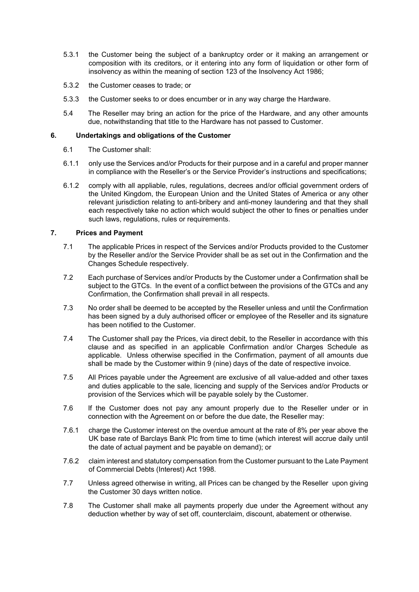- 5.3.1 the Customer being the subject of a bankruptcy order or it making an arrangement or composition with its creditors, or it entering into any form of liquidation or other form of insolvency as within the meaning of section 123 of the Insolvency Act 1986;
- 5.3.2 the Customer ceases to trade; or
- 5.3.3 the Customer seeks to or does encumber or in any way charge the Hardware.
- 5.4 The Reseller may bring an action for the price of the Hardware, and any other amounts due, notwithstanding that title to the Hardware has not passed to Customer.

# **6. Undertakings and obligations of the Customer**

- 6.1 The Customer shall:
- 6.1.1 only use the Services and/or Products for their purpose and in a careful and proper manner in compliance with the Reseller's or the Service Provider's instructions and specifications;
- 6.1.2 comply with all appliable, rules, regulations, decrees and/or official government orders of the United Kingdom, the European Union and the United States of America or any other relevant jurisdiction relating to anti-bribery and anti-money laundering and that they shall each respectively take no action which would subject the other to fines or penalties under such laws, regulations, rules or requirements.

# **7. Prices and Payment**

- 7.1 The applicable Prices in respect of the Services and/or Products provided to the Customer by the Reseller and/or the Service Provider shall be as set out in the Confirmation and the Changes Schedule respectively.
- 7.2 Each purchase of Services and/or Products by the Customer under a Confirmation shall be subject to the GTCs. In the event of a conflict between the provisions of the GTCs and any Confirmation, the Confirmation shall prevail in all respects.
- 7.3 No order shall be deemed to be accepted by the Reseller unless and until the Confirmation has been signed by a duly authorised officer or employee of the Reseller and its signature has been notified to the Customer.
- 7.4 The Customer shall pay the Prices, via direct debit, to the Reseller in accordance with this clause and as specified in an applicable Confirmation and/or Charges Schedule as applicable. Unless otherwise specified in the Confirmation, payment of all amounts due shall be made by the Customer within 9 (nine) days of the date of respective invoice.
- 7.5 All Prices payable under the Agreement are exclusive of all value-added and other taxes and duties applicable to the sale, licencing and supply of the Services and/or Products or provision of the Services which will be payable solely by the Customer.
- 7.6 If the Customer does not pay any amount properly due to the Reseller under or in connection with the Agreement on or before the due date, the Reseller may:
- 7.6.1 charge the Customer interest on the overdue amount at the rate of 8% per year above the UK base rate of Barclays Bank Plc from time to time (which interest will accrue daily until the date of actual payment and be payable on demand); or
- 7.6.2 claim interest and statutory compensation from the Customer pursuant to the Late Payment of Commercial Debts (Interest) Act 1998.
- 7.7 Unless agreed otherwise in writing, all Prices can be changed by the Reseller upon giving the Customer 30 days written notice.
- 7.8 The Customer shall make all payments properly due under the Agreement without any deduction whether by way of set off, counterclaim, discount, abatement or otherwise.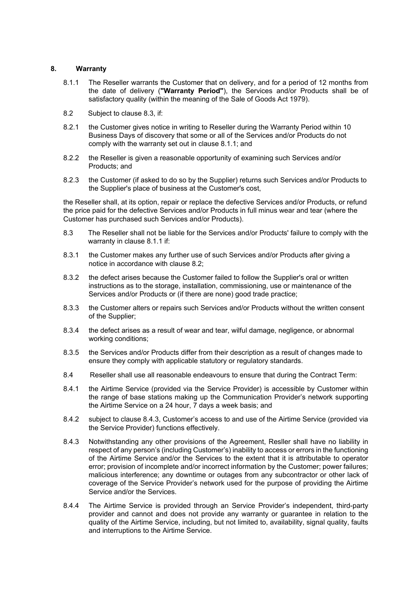# **8. Warranty**

- <span id="page-4-1"></span>8.1.1 The Reseller warrants the Customer that on delivery, and for a period of 12 months from the date of delivery (**"Warranty Period"**), the Services and/or Products shall be of satisfactory quality (within the meaning of the Sale of Goods Act 1979).
- <span id="page-4-2"></span>8.2 Subject to clause [8.3,](#page-4-0) if:
- 8.2.1 the Customer gives notice in writing to Reseller during the Warranty Period within 10 Business Days of discovery that some or all of the Services and/or Products do not comply with the warranty set out in clause [8.1.1;](#page-4-1) and
- 8.2.2 the Reseller is given a reasonable opportunity of examining such Services and/or Products; and
- 8.2.3 the Customer (if asked to do so by the Supplier) returns such Services and/or Products to the Supplier's place of business at the Customer's cost,

the Reseller shall, at its option, repair or replace the defective Services and/or Products, or refund the price paid for the defective Services and/or Products in full minus wear and tear (where the Customer has purchased such Services and/or Products).

- <span id="page-4-0"></span>8.3 The Reseller shall not be liable for the Services and/or Products' failure to comply with the warranty in clause [8.1.1](#page-4-1) if:
- 8.3.1 the Customer makes any further use of such Services and/or Products after giving a notice in accordance with claus[e 8.2;](#page-4-2)
- 8.3.2 the defect arises because the Customer failed to follow the Supplier's oral or written instructions as to the storage, installation, commissioning, use or maintenance of the Services and/or Products or (if there are none) good trade practice;
- 8.3.3 the Customer alters or repairs such Services and/or Products without the written consent of the Supplier;
- 8.3.4 the defect arises as a result of wear and tear, wilful damage, negligence, or abnormal working conditions;
- 8.3.5 the Services and/or Products differ from their description as a result of changes made to ensure they comply with applicable statutory or regulatory standards.
- 8.4 Reseller shall use all reasonable endeavours to ensure that during the Contract Term:
- 8.4.1 the Airtime Service (provided via the Service Provider) is accessible by Customer within the range of base stations making up the Communication Provider's network supporting the Airtime Service on a 24 hour, 7 days a week basis; and
- 8.4.2 subject to clause 8.4.3, Customer's access to and use of the Airtime Service (provided via the Service Provider) functions effectively.
- 8.4.3 Notwithstanding any other provisions of the Agreement, Resller shall have no liability in respect of any person's (including Customer's) inability to access or errors in the functioning of the Airtime Service and/or the Services to the extent that it is attributable to operator error; provision of incomplete and/or incorrect information by the Customer; power failures; malicious interference; any downtime or outages from any subcontractor or other lack of coverage of the Service Provider's network used for the purpose of providing the Airtime Service and/or the Services.
- 8.4.4 The Airtime Service is provided through an Service Provider's independent, third-party provider and cannot and does not provide any warranty or guarantee in relation to the quality of the Airtime Service, including, but not limited to, availability, signal quality, faults and interruptions to the Airtime Service.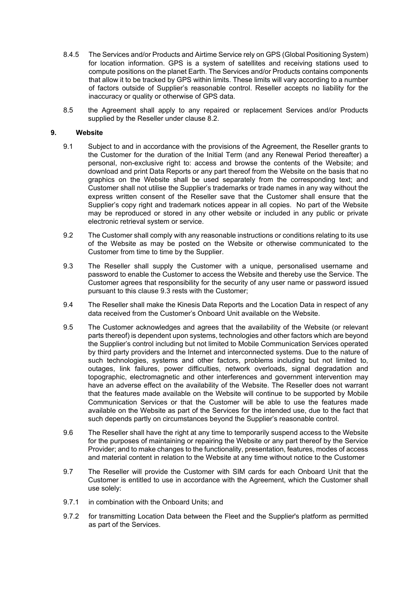- 8.4.5 The Services and/or Products and Airtime Service rely on GPS (Global Positioning System) for location information. GPS is a system of satellites and receiving stations used to compute positions on the planet Earth. The Services and/or Products contains components that allow it to be tracked by GPS within limits. These limits will vary according to a number of factors outside of Supplier's reasonable control. Reseller accepts no liability for the inaccuracy or quality or otherwise of GPS data.
- 8.5 the Agreement shall apply to any repaired or replacement Services and/or Products supplied by the Reseller under clause [8.2.](#page-4-2)

#### **9. Website**

- 9.1 Subject to and in accordance with the provisions of the Agreement, the Reseller grants to the Customer for the duration of the Initial Term (and any Renewal Period thereafter) a personal, non-exclusive right to: access and browse the contents of the Website; and download and print Data Reports or any part thereof from the Website on the basis that no graphics on the Website shall be used separately from the corresponding text; and Customer shall not utilise the Supplier's trademarks or trade names in any way without the express written consent of the Reseller save that the Customer shall ensure that the Supplier's copy right and trademark notices appear in all copies. No part of the Website may be reproduced or stored in any other website or included in any public or private electronic retrieval system or service.
- 9.2 The Customer shall comply with any reasonable instructions or conditions relating to its use of the Website as may be posted on the Website or otherwise communicated to the Customer from time to time by the Supplier.
- <span id="page-5-0"></span>9.3 The Reseller shall supply the Customer with a unique, personalised username and password to enable the Customer to access the Website and thereby use the Service. The Customer agrees that responsibility for the security of any user name or password issued pursuant to this clause [9.3](#page-5-0) rests with the Customer;
- 9.4 The Reseller shall make the Kinesis Data Reports and the Location Data in respect of any data received from the Customer's Onboard Unit available on the Website.
- 9.5 The Customer acknowledges and agrees that the availability of the Website (or relevant parts thereof) is dependent upon systems, technologies and other factors which are beyond the Supplier's control including but not limited to Mobile Communication Services operated by third party providers and the Internet and interconnected systems. Due to the nature of such technologies, systems and other factors, problems including but not limited to, outages, link failures, power difficulties, network overloads, signal degradation and topographic, electromagnetic and other interferences and government intervention may have an adverse effect on the availability of the Website. The Reseller does not warrant that the features made available on the Website will continue to be supported by Mobile Communication Services or that the Customer will be able to use the features made available on the Website as part of the Services for the intended use, due to the fact that such depends partly on circumstances beyond the Supplier's reasonable control.
- 9.6 The Reseller shall have the right at any time to temporarily suspend access to the Website for the purposes of maintaining or repairing the Website or any part thereof by the Service Provider; and to make changes to the functionality, presentation, features, modes of access and material content in relation to the Website at any time without notice to the Customer
- 9.7 The Reseller will provide the Customer with SIM cards for each Onboard Unit that the Customer is entitled to use in accordance with the Agreement, which the Customer shall use solely:
- 9.7.1 in combination with the Onboard Units; and
- 9.7.2 for transmitting Location Data between the Fleet and the Supplier's platform as permitted as part of the Services.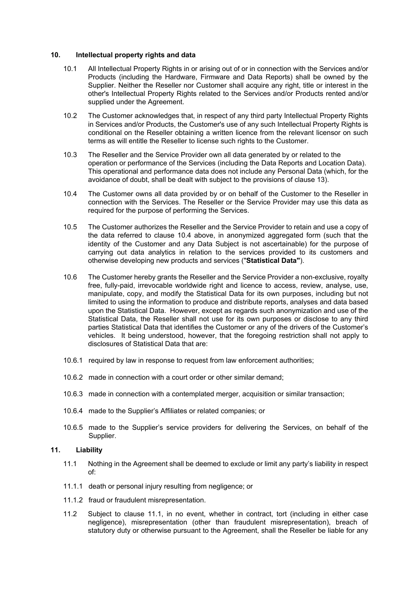#### <span id="page-6-1"></span>**10. Intellectual property rights and data**

- 10.1 All Intellectual Property Rights in or arising out of or in connection with the Services and/or Products (including the Hardware, Firmware and Data Reports) shall be owned by the Supplier. Neither the Reseller nor Customer shall acquire any right, title or interest in the other's Intellectual Property Rights related to the Services and/or Products rented and/or supplied under the Agreement.
- 10.2 The Customer acknowledges that, in respect of any third party Intellectual Property Rights in Services and/or Products, the Customer's use of any such Intellectual Property Rights is conditional on the Reseller obtaining a written licence from the relevant licensor on such terms as will entitle the Reseller to license such rights to the Customer.
- 10.3 The Reseller and the Service Provider own all data generated by or related to the operation or performance of the Services (including the Data Reports and Location Data). This operational and performance data does not include any Personal Data (which, for the avoidance of doubt, shall be dealt with subject to the provisions of clause [13\)](#page-8-0).
- 10.4 The Customer owns all data provided by or on behalf of the Customer to the Reseller in connection with the Services. The Reseller or the Service Provider may use this data as required for the purpose of performing the Services.
- <span id="page-6-0"></span>10.5 The Customer authorizes the Reseller and the Service Provider to retain and use a copy of the data referred to clause 10.4 above, in anonymized aggregated form (such that the identity of the Customer and any Data Subject is not ascertainable) for the purpose of carrying out data analytics in relation to the services provided to its customers and otherwise developing new products and services ("**Statistical Data"**).
- 10.6 The Customer hereby grants the Reseller and the Service Provider a non-exclusive, royalty free, fully-paid, irrevocable worldwide right and licence to access, review, analyse, use, manipulate, copy, and modify the Statistical Data for its own purposes, including but not limited to using the information to produce and distribute reports, analyses and data based upon the Statistical Data. However, except as regards such anonymization and use of the Statistical Data, the Reseller shall not use for its own purposes or disclose to any third parties Statistical Data that identifies the Customer or any of the drivers of the Customer's vehicles. It being understood, however, that the foregoing restriction shall not apply to disclosures of Statistical Data that are:
- 10.6.1 required by law in response to request from law enforcement authorities;
- 10.6.2 made in connection with a court order or other similar demand;
- 10.6.3 made in connection with a contemplated merger, acquisition or similar transaction;
- 10.6.4 made to the Supplier's Affiliates or related companies; or
- 10.6.5 made to the Supplier's service providers for delivering the Services, on behalf of the Supplier.

# <span id="page-6-2"></span>**11. Liability**

- 11.1 Nothing in the Agreement shall be deemed to exclude or limit any party's liability in respect of:
- 11.1.1 death or personal injury resulting from negligence; or
- 11.1.2 fraud or fraudulent misrepresentation.
- 11.2 Subject to clause [11.1,](#page-6-2) in no event, whether in contract, tort (including in either case negligence), misrepresentation (other than fraudulent misrepresentation), breach of statutory duty or otherwise pursuant to the Agreement, shall the Reseller be liable for any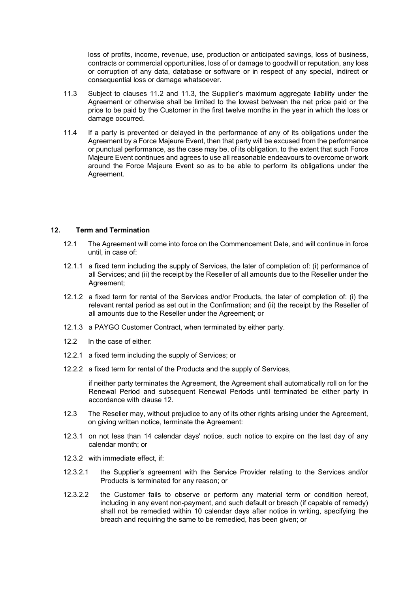loss of profits, income, revenue, use, production or anticipated savings, loss of business, contracts or commercial opportunities, loss of or damage to goodwill or reputation, any loss or corruption of any data, database or software or in respect of any special, indirect or consequential loss or damage whatsoever.

- 11.3 Subject to clauses 11.2 and 11.3, the Supplier's maximum aggregate liability under the Agreement or otherwise shall be limited to the lowest between the net price paid or the price to be paid by the Customer in the first twelve months in the year in which the loss or damage occurred.
- 11.4 If a party is prevented or delayed in the performance of any of its obligations under the Agreement by a Force Majeure Event, then that party will be excused from the performance or punctual performance, as the case may be, of its obligation, to the extent that such Force Majeure Event continues and agrees to use all reasonable endeavours to overcome or work around the Force Majeure Event so as to be able to perform its obligations under the Agreement.

# **12. Term and Termination**

- 12.1 The Agreement will come into force on the Commencement Date, and will continue in force until, in case of:
- 12.1.1 a fixed term including the supply of Services, the later of completion of: (i) performance of all Services; and (ii) the receipt by the Reseller of all amounts due to the Reseller under the Agreement;
- 12.1.2 a fixed term for rental of the Services and/or Products, the later of completion of: (i) the relevant rental period as set out in the Confirmation; and (ii) the receipt by the Reseller of all amounts due to the Reseller under the Agreement; or
- 12.1.3 a PAYGO Customer Contract, when terminated by either party.
- 12.2 In the case of either:
- 12.2.1 a fixed term including the supply of Services; or
- 12.2.2 a fixed term for rental of the Products and the supply of Services,

if neither party terminates the Agreement, the Agreement shall automatically roll on for the Renewal Period and subsequent Renewal Periods until terminated be either party in accordance with clause 12.

- 12.3 The Reseller may, without prejudice to any of its other rights arising under the Agreement, on giving written notice, terminate the Agreement:
- 12.3.1 on not less than 14 calendar days' notice, such notice to expire on the last day of any calendar month; or
- 12.3.2 with immediate effect, if:
- 12.3.2.1 the Supplier's agreement with the Service Provider relating to the Services and/or Products is terminated for any reason; or
- 12.3.2.2 the Customer fails to observe or perform any material term or condition hereof, including in any event non-payment, and such default or breach (if capable of remedy) shall not be remedied within 10 calendar days after notice in writing, specifying the breach and requiring the same to be remedied, has been given; or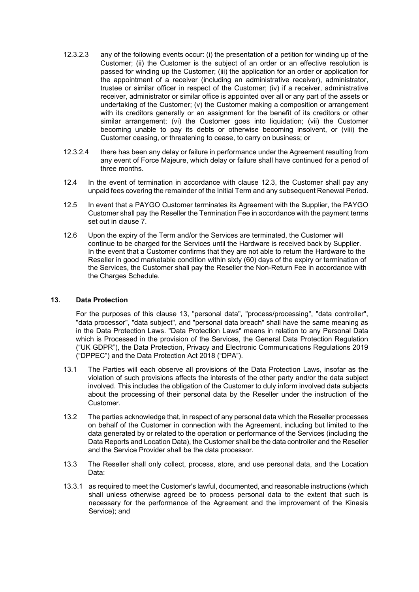- 12.3.2.3 any of the following events occur: (i) the presentation of a petition for winding up of the Customer; (ii) the Customer is the subject of an order or an effective resolution is passed for winding up the Customer; (iii) the application for an order or application for the appointment of a receiver (including an administrative receiver), administrator, trustee or similar officer in respect of the Customer; (iv) if a receiver, administrative receiver, administrator or similar office is appointed over all or any part of the assets or undertaking of the Customer; (v) the Customer making a composition or arrangement with its creditors generally or an assignment for the benefit of its creditors or other similar arrangement; (vi) the Customer goes into liquidation; (vii) the Customer becoming unable to pay its debts or otherwise becoming insolvent, or (viii) the Customer ceasing, or threatening to cease, to carry on business; or
- 12.3.2.4 there has been any delay or failure in performance under the Agreement resulting from any event of Force Majeure, which delay or failure shall have continued for a period of three months.
- 12.4 In the event of termination in accordance with clause 12.3, the Customer shall pay any unpaid fees covering the remainder of the Initial Term and any subsequent Renewal Period.
- 12.5 In event that a PAYGO Customer terminates its Agreement with the Supplier, the PAYGO Customer shall pay the Reseller the Termination Fee in accordance with the payment terms set out in clause 7.
- 12.6 Upon the expiry of the Term and/or the Services are terminated, the Customer will continue to be charged for the Services until the Hardware is received back by Supplier. In the event that a Customer confirms that they are not able to return the Hardware to the Reseller in good marketable condition within sixty (60) days of the expiry or termination of the Services, the Customer shall pay the Reseller the Non-Return Fee in accordance with the Charges Schedule.

#### <span id="page-8-0"></span>**13. Data Protection**

For the purposes of this clause [13,](#page-8-0) "personal data", "process/processing", "data controller", "data processor", "data subject", and "personal data breach" shall have the same meaning as in the Data Protection Laws. "Data Protection Laws" means in relation to any Personal Data which is Processed in the provision of the Services, the General Data Protection Regulation ("UK GDPR"), the Data Protection, Privacy and Electronic Communications Regulations 2019 ("DPPEC") and the Data Protection Act 2018 ("DPA").

- 13.1 The Parties will each observe all provisions of the Data Protection Laws, insofar as the violation of such provisions affects the interests of the other party and/or the data subject involved. This includes the obligation of the Customer to duly inform involved data subjects about the processing of their personal data by the Reseller under the instruction of the Customer.
- 13.2 The parties acknowledge that, in respect of any personal data which the Reseller processes on behalf of the Customer in connection with the Agreement, including but limited to the data generated by or related to the operation or performance of the Services (including the Data Reports and Location Data), the Customer shall be the data controller and the Reseller and the Service Provider shall be the data processor.
- <span id="page-8-1"></span>13.3 The Reseller shall only collect, process, store, and use personal data, and the Location Data:
- 13.3.1 as required to meet the Customer's lawful, documented, and reasonable instructions (which shall unless otherwise agreed be to process personal data to the extent that such is necessary for the performance of the Agreement and the improvement of the Kinesis Service); and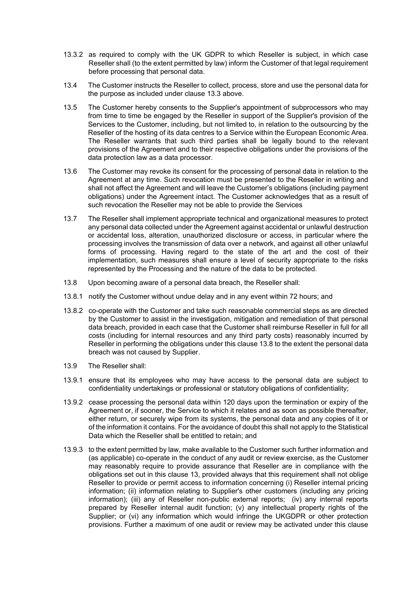- 13.3.2 as required to comply with the UK GDPR to which Reseller is subject, in which case Reseller shall (to the extent permitted by law) inform the Customer of that legal requirement before processing that personal data.
- 13.4 The Customer instructs the Reseller to collect, process, store and use the personal data for the purpose as included under clause [13.3](#page-8-1) above.
- 13.5 The Customer hereby consents to the Supplier's appointment of subprocessors who may from time to time be engaged by the Reseller in support of the Supplier's provision of the Services to the Customer, including, but not limited to, in relation to the outsourcing by the Reseller of the hosting of its data centres to a Service within the European Economic Area. The Reseller warrants that such third parties shall be legally bound to the relevant provisions of the Agreement and to their respective obligations under the provisions of the data protection law as a data processor.
- 13.6 The Customer may revoke its consent for the processing of personal data in relation to the Agreement at any time. Such revocation must be presented to the Reseller in writing and shall not affect the Agreement and will leave the Customer's obligations (including payment obligations) under the Agreement intact. The Customer acknowledges that as a result of such revocation the Reseller may not be able to provide the Services
- 13.7 The Reseller shall implement appropriate technical and organizational measures to protect any personal data collected under the Agreement against accidental or unlawful destruction or accidental loss, alteration, unauthorized disclosure or access, in particular where the processing involves the transmission of data over a network, and against all other unlawful forms of processing. Having regard to the state of the art and the cost of their implementation, such measures shall ensure a level of security appropriate to the risks represented by the Processing and the nature of the data to be protected.
- <span id="page-9-0"></span>13.8 Upon becoming aware of a personal data breach, the Reseller shall:
- 13.8.1 notify the Customer without undue delay and in any event within 72 hours; and
- 13.8.2 co-operate with the Customer and take such reasonable commercial steps as are directed by the Customer to assist in the investigation, mitigation and remediation of that personal data breach, provided in each case that the Customer shall reimburse Reseller in full for all costs (including for internal resources and any third party costs) reasonably incurred by Reseller in performing the obligations under this claus[e 13.8](#page-9-0) to the extent the personal data breach was not caused by Supplier.
- 13.9 The Reseller shall:
- 13.9.1 ensure that its employees who may have access to the personal data are subject to confidentiality undertakings or professional or statutory obligations of confidentiality;
- 13.9.2 cease processing the personal data within 120 days upon the termination or expiry of the Agreement or, if sooner, the Service to which it relates and as soon as possible thereafter, either return, or securely wipe from its systems, the personal data and any copies of it or of the information it contains. For the avoidance of doubt this shall not apply to the Statistical Data which the Reseller shall be entitled to retain; and
- 13.9.3 to the extent permitted by law, make available to the Customer such further information and (as applicable) co-operate in the conduct of any audit or review exercise, as the Customer may reasonably require to provide assurance that Reseller are in compliance with the obligations set out in this clause [13,](#page-8-0) provided always that this requirement shall not oblige Reseller to provide or permit access to information concerning (i) Reseller internal pricing information; (ii) information relating to Supplier's other customers (including any pricing information); (iii) any of Reseller non-public external reports; (iv) any internal reports prepared by Reseller internal audit function; (v) any intellectual property rights of the Supplier; or (vi) any information which would infringe the UKGDPR or other protection provisions. Further a maximum of one audit or review may be activated under this clause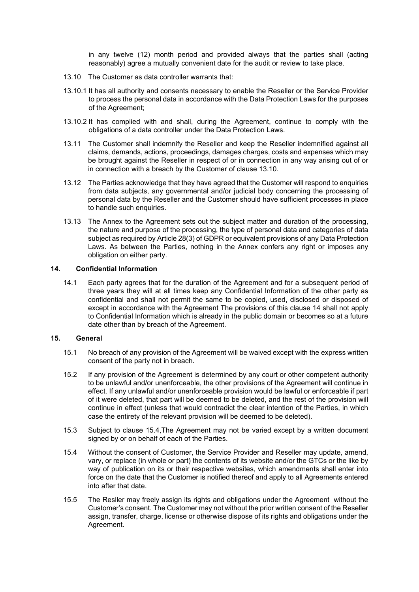in any twelve (12) month period and provided always that the parties shall (acting reasonably) agree a mutually convenient date for the audit or review to take place.

- <span id="page-10-0"></span>13.10 The Customer as data controller warrants that:
- 13.10.1 It has all authority and consents necessary to enable the Reseller or the Service Provider to process the personal data in accordance with the Data Protection Laws for the purposes of the Agreement;
- 13.10.2 It has complied with and shall, during the Agreement, continue to comply with the obligations of a data controller under the Data Protection Laws.
- 13.11 The Customer shall indemnify the Reseller and keep the Reseller indemnified against all claims, demands, actions, proceedings, damages charges, costs and expenses which may be brought against the Reseller in respect of or in connection in any way arising out of or in connection with a breach by the Customer of clause [13.10.](#page-10-0)
- 13.12 The Parties acknowledge that they have agreed that the Customer will respond to enquiries from data subjects, any governmental and/or judicial body concerning the processing of personal data by the Reseller and the Customer should have sufficient processes in place to handle such enquiries.
- 13.13 The Annex to the Agreement sets out the subject matter and duration of the processing, the nature and purpose of the processing, the type of personal data and categories of data subject as required by Article 28(3) of GDPR or equivalent provisions of any Data Protection Laws. As between the Parties, nothing in the Annex confers any right or imposes any obligation on either party.

# <span id="page-10-1"></span>**14. Confidential Information**

14.1 Each party agrees that for the duration of the Agreement and for a subsequent period of three years they will at all times keep any Confidential Information of the other party as confidential and shall not permit the same to be copied, used, disclosed or disposed of except in accordance with the Agreement The provisions of this clause [14](#page-10-1) shall not apply to Confidential Information which is already in the public domain or becomes so at a future date other than by breach of the Agreement.

# **15. General**

- 15.1 No breach of any provision of the Agreement will be waived except with the express written consent of the party not in breach.
- 15.2 If any provision of the Agreement is determined by any court or other competent authority to be unlawful and/or unenforceable, the other provisions of the Agreement will continue in effect. If any unlawful and/or unenforceable provision would be lawful or enforceable if part of it were deleted, that part will be deemed to be deleted, and the rest of the provision will continue in effect (unless that would contradict the clear intention of the Parties, in which case the entirety of the relevant provision will be deemed to be deleted).
- 15.3 Subject to clause 15.4,The Agreement may not be varied except by a written document signed by or on behalf of each of the Parties.
- 15.4 Without the consent of Customer, the Service Provider and Reseller may update, amend, vary, or replace (in whole or part) the contents of its website and/or the GTCs or the like by way of publication on its or their respective websites, which amendments shall enter into force on the date that the Customer is notified thereof and apply to all Agreements entered into after that date.
- 15.5 The Resller may freely assign its rights and obligations under the Agreement without the Customer's consent. The Customer may not without the prior written consent of the Reseller assign, transfer, charge, license or otherwise dispose of its rights and obligations under the Agreement.